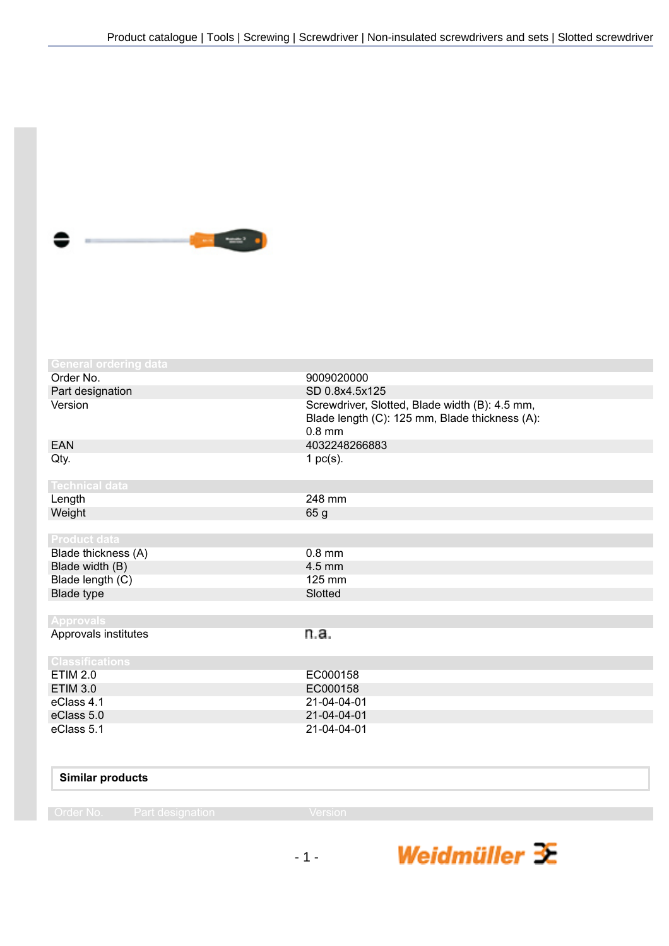

| <b>General ordering data</b> |                                                                                                              |
|------------------------------|--------------------------------------------------------------------------------------------------------------|
| Order No.                    | 9009020000                                                                                                   |
| Part designation             | SD 0.8x4.5x125                                                                                               |
| Version                      | Screwdriver, Slotted, Blade width (B): 4.5 mm,<br>Blade length (C): 125 mm, Blade thickness (A):<br>$0.8$ mm |
| <b>EAN</b>                   | 4032248266883                                                                                                |
| Qty.                         | 1 $pc(s)$ .                                                                                                  |
| <b>Technical data</b>        |                                                                                                              |
| Length                       | 248 mm                                                                                                       |
| Weight                       | 65 g                                                                                                         |
|                              |                                                                                                              |
| <b>Product data</b>          |                                                                                                              |
| Blade thickness (A)          | $0.8$ mm                                                                                                     |
| Blade width (B)              | $4.5$ mm                                                                                                     |
| Blade length (C)             | 125 mm                                                                                                       |
| Blade type                   | Slotted                                                                                                      |
|                              |                                                                                                              |
| <b>Approvals</b>             |                                                                                                              |
| Approvals institutes         | n.a.                                                                                                         |
| <b>Classifications</b>       |                                                                                                              |
| <b>ETIM 2.0</b>              | EC000158                                                                                                     |
| <b>ETIM 3.0</b>              | EC000158                                                                                                     |
| eClass 4.1                   | 21-04-04-01                                                                                                  |
| eClass 5.0                   | 21-04-04-01                                                                                                  |
| eClass 5.1                   | 21-04-04-01                                                                                                  |
|                              |                                                                                                              |
|                              |                                                                                                              |

| <b>Similar products</b> |  |
|-------------------------|--|
|                         |  |

- 1 -